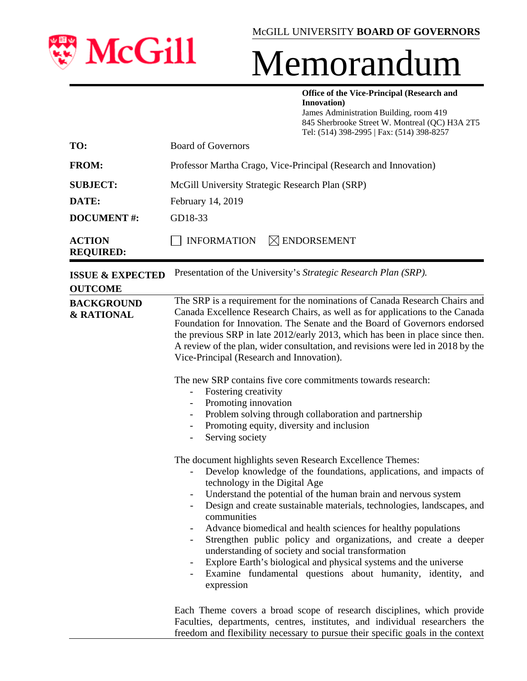

# Memorandum

**Office of the Vice-Principal (Research and Innovation)** James Administration Building, room 419 845 Sherbrooke Street W. Montreal (QC) H3A 2T5

|                                               | Tel: (514) 398-2995   Fax: (514) 398-8257                                                                                                                                                                                                                                                                                                                                                                                                                                                                                                                                                                                                                                                                                                                                                                                                                        |  |  |
|-----------------------------------------------|------------------------------------------------------------------------------------------------------------------------------------------------------------------------------------------------------------------------------------------------------------------------------------------------------------------------------------------------------------------------------------------------------------------------------------------------------------------------------------------------------------------------------------------------------------------------------------------------------------------------------------------------------------------------------------------------------------------------------------------------------------------------------------------------------------------------------------------------------------------|--|--|
| TO:                                           | <b>Board of Governors</b>                                                                                                                                                                                                                                                                                                                                                                                                                                                                                                                                                                                                                                                                                                                                                                                                                                        |  |  |
| <b>FROM:</b>                                  | Professor Martha Crago, Vice-Principal (Research and Innovation)                                                                                                                                                                                                                                                                                                                                                                                                                                                                                                                                                                                                                                                                                                                                                                                                 |  |  |
| <b>SUBJECT:</b>                               | McGill University Strategic Research Plan (SRP)                                                                                                                                                                                                                                                                                                                                                                                                                                                                                                                                                                                                                                                                                                                                                                                                                  |  |  |
| DATE:                                         | February 14, 2019                                                                                                                                                                                                                                                                                                                                                                                                                                                                                                                                                                                                                                                                                                                                                                                                                                                |  |  |
| <b>DOCUMENT#:</b>                             | GD18-33                                                                                                                                                                                                                                                                                                                                                                                                                                                                                                                                                                                                                                                                                                                                                                                                                                                          |  |  |
| <b>ACTION</b><br><b>REQUIRED:</b>             | <b>INFORMATION</b><br>$\boxtimes$ ENDORSEMENT                                                                                                                                                                                                                                                                                                                                                                                                                                                                                                                                                                                                                                                                                                                                                                                                                    |  |  |
| <b>ISSUE &amp; EXPECTED</b><br><b>OUTCOME</b> | Presentation of the University's Strategic Research Plan (SRP).                                                                                                                                                                                                                                                                                                                                                                                                                                                                                                                                                                                                                                                                                                                                                                                                  |  |  |
| <b>BACKGROUND</b><br>& RATIONAL               | The SRP is a requirement for the nominations of Canada Research Chairs and<br>Canada Excellence Research Chairs, as well as for applications to the Canada<br>Foundation for Innovation. The Senate and the Board of Governors endorsed<br>the previous SRP in late 2012/early 2013, which has been in place since then.<br>A review of the plan, wider consultation, and revisions were led in 2018 by the<br>Vice-Principal (Research and Innovation).<br>The new SRP contains five core commitments towards research:<br>Fostering creativity<br>Promoting innovation<br>Problem solving through collaboration and partnership<br>Promoting equity, diversity and inclusion<br>Serving society<br>$\overline{\phantom{a}}$<br>The document highlights seven Research Excellence Themes:<br>Develop knowledge of the foundations, applications, and impacts of |  |  |
|                                               | technology in the Digital Age<br>Understand the potential of the human brain and nervous system<br>Design and create sustainable materials, technologies, landscapes, and<br>communities<br>Advance biomedical and health sciences for healthy populations<br>Strengthen public policy and organizations, and create a deeper<br>understanding of society and social transformation                                                                                                                                                                                                                                                                                                                                                                                                                                                                              |  |  |

Each Theme covers a broad scope of research disciplines, which provide Faculties, departments, centres, institutes, and individual researchers the freedom and flexibility necessary to pursue their specific goals in the context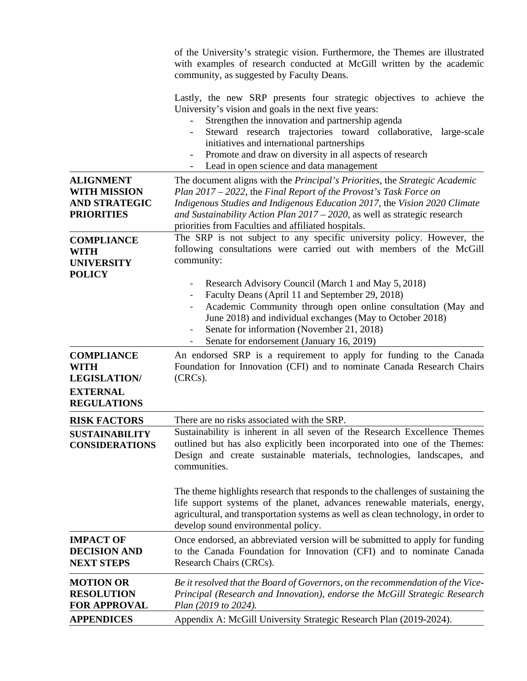|                                                                                      | of the University's strategic vision. Furthermore, the Themes are illustrated<br>with examples of research conducted at McGill written by the academic<br>community, as suggested by Faculty Deans.                                                                                                                                                                                                         |
|--------------------------------------------------------------------------------------|-------------------------------------------------------------------------------------------------------------------------------------------------------------------------------------------------------------------------------------------------------------------------------------------------------------------------------------------------------------------------------------------------------------|
|                                                                                      | Lastly, the new SRP presents four strategic objectives to achieve the<br>University's vision and goals in the next five years:<br>Strengthen the innovation and partnership agenda<br>Steward research trajectories toward collaborative, large-scale<br>initiatives and international partnerships<br>Promote and draw on diversity in all aspects of research<br>Lead in open science and data management |
| <b>ALIGNMENT</b><br><b>WITH MISSION</b><br><b>AND STRATEGIC</b><br><b>PRIORITIES</b> | The document aligns with the <i>Principal's Priorities</i> , the <i>Strategic Academic</i><br>Plan 2017 – 2022, the Final Report of the Provost's Task Force on<br>Indigenous Studies and Indigenous Education 2017, the Vision 2020 Climate<br>and Sustainability Action Plan 2017 - 2020, as well as strategic research<br>priorities from Faculties and affiliated hospitals.                            |
| <b>COMPLIANCE</b><br><b>WITH</b><br><b>UNIVERSITY</b><br><b>POLICY</b>               | The SRP is not subject to any specific university policy. However, the<br>following consultations were carried out with members of the McGill<br>community:                                                                                                                                                                                                                                                 |
|                                                                                      | Research Advisory Council (March 1 and May 5, 2018)<br>Faculty Deans (April 11 and September 29, 2018)<br>Academic Community through open online consultation (May and<br>June 2018) and individual exchanges (May to October 2018)<br>Senate for information (November 21, 2018)<br>Senate for endorsement (January 16, 2019)                                                                              |
| <b>COMPLIANCE</b><br><b>WITH</b><br><b>LEGISLATION/</b>                              | An endorsed SRP is a requirement to apply for funding to the Canada<br>Foundation for Innovation (CFI) and to nominate Canada Research Chairs<br>(CRCs).                                                                                                                                                                                                                                                    |
| <b>EXTERNAL</b><br><b>REGULATIONS</b>                                                |                                                                                                                                                                                                                                                                                                                                                                                                             |
| <b>RISK FACTORS</b>                                                                  | There are no risks associated with the SRP.                                                                                                                                                                                                                                                                                                                                                                 |
| <b>SUSTAINABILITY</b><br><b>CONSIDERATIONS</b>                                       | Sustainability is inherent in all seven of the Research Excellence Themes<br>outlined but has also explicitly been incorporated into one of the Themes:<br>Design and create sustainable materials, technologies, landscapes,<br>and<br>communities.                                                                                                                                                        |
|                                                                                      | The theme highlights research that responds to the challenges of sustaining the<br>life support systems of the planet, advances renewable materials, energy,<br>agricultural, and transportation systems as well as clean technology, in order to<br>develop sound environmental policy.                                                                                                                    |
| <b>IMPACT OF</b><br><b>DECISION AND</b><br><b>NEXT STEPS</b>                         | Once endorsed, an abbreviated version will be submitted to apply for funding<br>to the Canada Foundation for Innovation (CFI) and to nominate Canada<br>Research Chairs (CRCs).                                                                                                                                                                                                                             |
| <b>MOTION OR</b><br><b>RESOLUTION</b><br><b>FOR APPROVAL</b>                         | Be it resolved that the Board of Governors, on the recommendation of the Vice-<br>Principal (Research and Innovation), endorse the McGill Strategic Research<br>Plan (2019 to 2024).                                                                                                                                                                                                                        |
| <b>APPENDICES</b>                                                                    | Appendix A: McGill University Strategic Research Plan (2019-2024).                                                                                                                                                                                                                                                                                                                                          |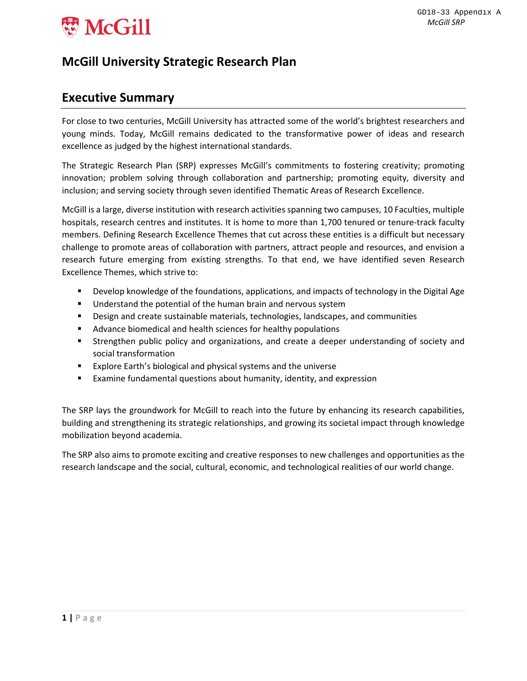

## **McGill University Strategic Research Plan**

## **Executive Summary**

For close to two centuries, McGill University has attracted some of the world's brightest researchers and young minds. Today, McGill remains dedicated to the transformative power of ideas and research excellence as judged by the highest international standards.

The Strategic Research Plan (SRP) expresses McGill's commitments to fostering creativity; promoting innovation; problem solving through collaboration and partnership; promoting equity, diversity and inclusion; and serving society through seven identified Thematic Areas of Research Excellence.

McGill is a large, diverse institution with research activities spanning two campuses, 10 Faculties, multiple hospitals, research centres and institutes. It is home to more than 1,700 tenured or tenure-track faculty members. Defining Research Excellence Themes that cut across these entities is a difficult but necessary challenge to promote areas of collaboration with partners, attract people and resources, and envision a research future emerging from existing strengths. To that end, we have identified seven Research Excellence Themes, which strive to:

- **Develop knowledge of the foundations, applications, and impacts of technology in the Digital Age**
- Understand the potential of the human brain and nervous system
- Design and create sustainable materials, technologies, landscapes, and communities
- Advance biomedical and health sciences for healthy populations
- Strengthen public policy and organizations, and create a deeper understanding of society and social transformation
- Explore Earth's biological and physical systems and the universe
- Examine fundamental questions about humanity, identity, and expression

The SRP lays the groundwork for McGill to reach into the future by enhancing its research capabilities, building and strengthening its strategic relationships, and growing its societal impact through knowledge mobilization beyond academia.

The SRP also aims to promote exciting and creative responses to new challenges and opportunities as the research landscape and the social, cultural, economic, and technological realities of our world change.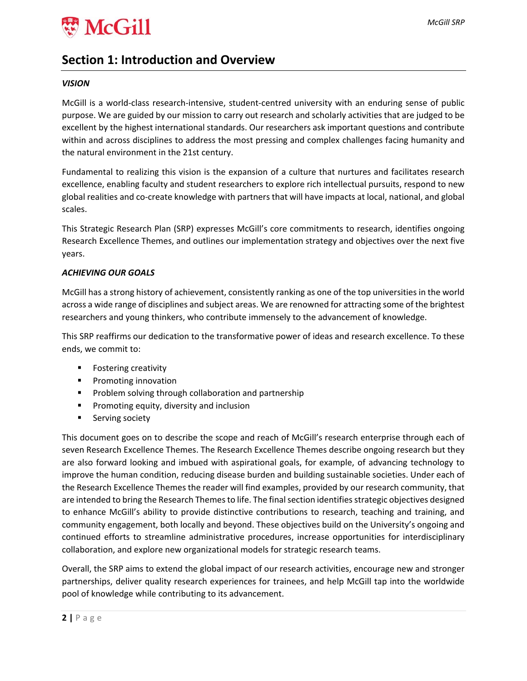

## **Section 1: Introduction and Overview**

#### *VISION*

McGill is a world‐class research‐intensive, student‐centred university with an enduring sense of public purpose. We are guided by our mission to carry out research and scholarly activities that are judged to be excellent by the highest international standards. Our researchers ask important questions and contribute within and across disciplines to address the most pressing and complex challenges facing humanity and the natural environment in the 21st century.

Fundamental to realizing this vision is the expansion of a culture that nurtures and facilitates research excellence, enabling faculty and student researchers to explore rich intellectual pursuits, respond to new global realities and co‐create knowledge with partners that will have impacts at local, national, and global scales.

This Strategic Research Plan (SRP) expresses McGill's core commitments to research, identifies ongoing Research Excellence Themes, and outlines our implementation strategy and objectives over the next five years.

#### *ACHIEVING OUR GOALS*

McGill has a strong history of achievement, consistently ranking as one of the top universities in the world across a wide range of disciplines and subject areas. We are renowned for attracting some of the brightest researchers and young thinkers, who contribute immensely to the advancement of knowledge.

This SRP reaffirms our dedication to the transformative power of ideas and research excellence. To these ends, we commit to:

- **F** Fostering creativity
- **Promoting innovation**
- **Problem solving through collaboration and partnership**
- **Promoting equity, diversity and inclusion**
- **Serving society**

This document goes on to describe the scope and reach of McGill's research enterprise through each of seven Research Excellence Themes. The Research Excellence Themes describe ongoing research but they are also forward looking and imbued with aspirational goals, for example, of advancing technology to improve the human condition, reducing disease burden and building sustainable societies. Under each of the Research Excellence Themes the reader will find examples, provided by our research community, that are intended to bring the Research Themes to life. The final section identifies strategic objectives designed to enhance McGill's ability to provide distinctive contributions to research, teaching and training, and community engagement, both locally and beyond. These objectives build on the University's ongoing and continued efforts to streamline administrative procedures, increase opportunities for interdisciplinary collaboration, and explore new organizational models for strategic research teams.

Overall, the SRP aims to extend the global impact of our research activities, encourage new and stronger partnerships, deliver quality research experiences for trainees, and help McGill tap into the worldwide pool of knowledge while contributing to its advancement.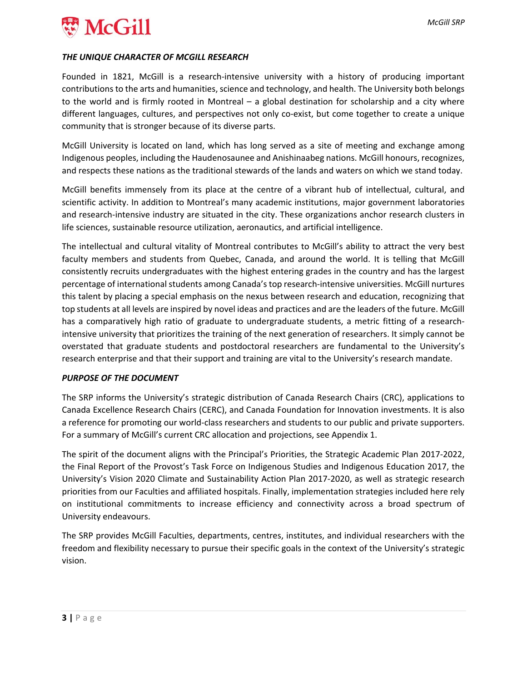

#### *THE UNIQUE CHARACTER OF MCGILL RESEARCH*

Founded in 1821, McGill is a research-intensive university with a history of producing important contributions to the arts and humanities, science and technology, and health. The University both belongs to the world and is firmly rooted in Montreal – a global destination for scholarship and a city where different languages, cultures, and perspectives not only co‐exist, but come together to create a unique community that is stronger because of its diverse parts.

McGill University is located on land, which has long served as a site of meeting and exchange among Indigenous peoples, including the Haudenosaunee and Anishinaabeg nations. McGill honours, recognizes, and respects these nations as the traditional stewards of the lands and waters on which we stand today.

McGill benefits immensely from its place at the centre of a vibrant hub of intellectual, cultural, and scientific activity. In addition to Montreal's many academic institutions, major government laboratories and research‐intensive industry are situated in the city. These organizations anchor research clusters in life sciences, sustainable resource utilization, aeronautics, and artificial intelligence.

The intellectual and cultural vitality of Montreal contributes to McGill's ability to attract the very best faculty members and students from Quebec, Canada, and around the world. It is telling that McGill consistently recruits undergraduates with the highest entering grades in the country and has the largest percentage of international students among Canada's top research‐intensive universities. McGill nurtures this talent by placing a special emphasis on the nexus between research and education, recognizing that top students at all levels are inspired by novel ideas and practices and are the leaders of the future. McGill has a comparatively high ratio of graduate to undergraduate students, a metric fitting of a researchintensive university that prioritizes the training of the next generation of researchers. It simply cannot be overstated that graduate students and postdoctoral researchers are fundamental to the University's research enterprise and that their support and training are vital to the University's research mandate.

#### *PURPOSE OF THE DOCUMENT*

The SRP informs the University's strategic distribution of Canada Research Chairs (CRC), applications to Canada Excellence Research Chairs (CERC), and Canada Foundation for Innovation investments. It is also a reference for promoting our world‐class researchers and students to our public and private supporters. For a summary of McGill's current CRC allocation and projections, see Appendix 1.

The spirit of the document aligns with the Principal's Priorities, the Strategic Academic Plan 2017‐2022, the Final Report of the Provost's Task Force on Indigenous Studies and Indigenous Education 2017, the University's Vision 2020 Climate and Sustainability Action Plan 2017‐2020, as well as strategic research priorities from our Faculties and affiliated hospitals. Finally, implementation strategies included here rely on institutional commitments to increase efficiency and connectivity across a broad spectrum of University endeavours.

The SRP provides McGill Faculties, departments, centres, institutes, and individual researchers with the freedom and flexibility necessary to pursue their specific goals in the context of the University's strategic vision.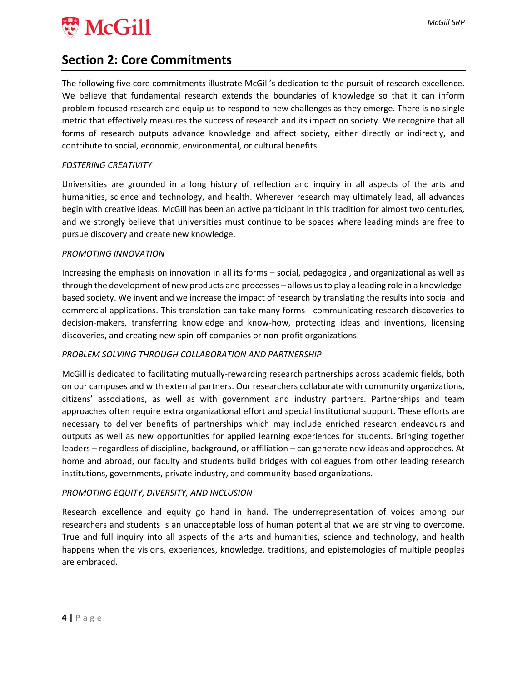

## **Section 2: Core Commitments**

The following five core commitments illustrate McGill's dedication to the pursuit of research excellence. We believe that fundamental research extends the boundaries of knowledge so that it can inform problem‐focused research and equip us to respond to new challenges as they emerge. There is no single metric that effectively measures the success of research and its impact on society. We recognize that all forms of research outputs advance knowledge and affect society, either directly or indirectly, and contribute to social, economic, environmental, or cultural benefits.

#### *FOSTERING CREATIVITY*

Universities are grounded in a long history of reflection and inquiry in all aspects of the arts and humanities, science and technology, and health. Wherever research may ultimately lead, all advances begin with creative ideas. McGill has been an active participant in this tradition for almost two centuries, and we strongly believe that universities must continue to be spaces where leading minds are free to pursue discovery and create new knowledge.

#### *PROMOTING INNOVATION*

Increasing the emphasis on innovation in all its forms – social, pedagogical, and organizational as well as through the development of new products and processes – allows usto play a leading role in a knowledge‐ based society. We invent and we increase the impact of research by translating the results into social and commercial applications. This translation can take many forms ‐ communicating research discoveries to decision‐makers, transferring knowledge and know‐how, protecting ideas and inventions, licensing discoveries, and creating new spin‐off companies or non‐profit organizations.

#### *PROBLEM SOLVING THROUGH COLLABORATION AND PARTNERSHIP*

McGill is dedicated to facilitating mutually‐rewarding research partnerships across academic fields, both on our campuses and with external partners. Our researchers collaborate with community organizations, citizens' associations, as well as with government and industry partners. Partnerships and team approaches often require extra organizational effort and special institutional support. These efforts are necessary to deliver benefits of partnerships which may include enriched research endeavours and outputs as well as new opportunities for applied learning experiences for students. Bringing together leaders – regardless of discipline, background, or affiliation – can generate new ideas and approaches. At home and abroad, our faculty and students build bridges with colleagues from other leading research institutions, governments, private industry, and community-based organizations.

#### *PROMOTING EQUITY, DIVERSITY, AND INCLUSION*

Research excellence and equity go hand in hand. The underrepresentation of voices among our researchers and students is an unacceptable loss of human potential that we are striving to overcome. True and full inquiry into all aspects of the arts and humanities, science and technology, and health happens when the visions, experiences, knowledge, traditions, and epistemologies of multiple peoples are embraced.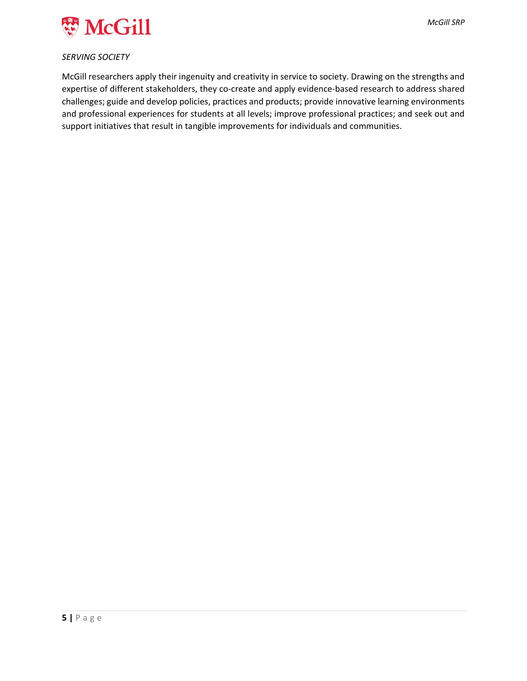

#### *SERVING SOCIETY*

McGill researchers apply their ingenuity and creativity in service to society. Drawing on the strengths and expertise of different stakeholders, they co-create and apply evidence-based research to address shared challenges; guide and develop policies, practices and products; provide innovative learning environments and professional experiences for students at all levels; improve professional practices; and seek out and support initiatives that result in tangible improvements for individuals and communities.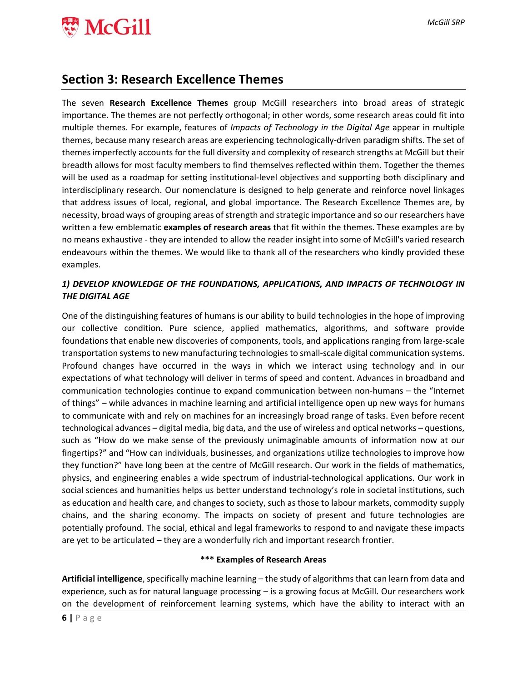

### **Section 3: Research Excellence Themes**

The seven **Research Excellence Themes** group McGill researchers into broad areas of strategic importance. The themes are not perfectly orthogonal; in other words, some research areas could fit into multiple themes. For example, features of *Impacts of Technology in the Digital Age* appear in multiple themes, because many research areas are experiencing technologically‐driven paradigm shifts. The set of themes imperfectly accounts for the full diversity and complexity of research strengths at McGill but their breadth allows for most faculty members to find themselves reflected within them. Together the themes will be used as a roadmap for setting institutional-level objectives and supporting both disciplinary and interdisciplinary research. Our nomenclature is designed to help generate and reinforce novel linkages that address issues of local, regional, and global importance. The Research Excellence Themes are, by necessity, broad ways of grouping areas of strength and strategic importance and so our researchers have written a few emblematic **examples of research areas** that fit within the themes. These examples are by no means exhaustive ‐ they are intended to allow the reader insight into some of McGill's varied research endeavours within the themes. We would like to thank all of the researchers who kindly provided these examples.

#### *1) DEVELOP KNOWLEDGE OF THE FOUNDATIONS, APPLICATIONS, AND IMPACTS OF TECHNOLOGY IN THE DIGITAL AGE*

One of the distinguishing features of humans is our ability to build technologies in the hope of improving our collective condition. Pure science, applied mathematics, algorithms, and software provide foundations that enable new discoveries of components, tools, and applications ranging from large‐scale transportation systems to new manufacturing technologies to small‐scale digital communication systems. Profound changes have occurred in the ways in which we interact using technology and in our expectations of what technology will deliver in terms of speed and content. Advances in broadband and communication technologies continue to expand communication between non‐humans – the "Internet of things" – while advances in machine learning and artificial intelligence open up new ways for humans to communicate with and rely on machines for an increasingly broad range of tasks. Even before recent technological advances – digital media, big data, and the use of wireless and optical networks – questions, such as "How do we make sense of the previously unimaginable amounts of information now at our fingertips?" and "How can individuals, businesses, and organizations utilize technologies to improve how they function?" have long been at the centre of McGill research. Our work in the fields of mathematics, physics, and engineering enables a wide spectrum of industrial‐technological applications. Our work in social sciences and humanities helps us better understand technology's role in societal institutions, such as education and health care, and changes to society, such as those to labour markets, commodity supply chains, and the sharing economy. The impacts on society of present and future technologies are potentially profound. The social, ethical and legal frameworks to respond to and navigate these impacts are yet to be articulated – they are a wonderfully rich and important research frontier.

#### **\*\*\* Examples of Research Areas**

**Artificial intelligence**, specifically machine learning – the study of algorithms that can learn from data and experience, such as for natural language processing – is a growing focus at McGill. Our researchers work on the development of reinforcement learning systems, which have the ability to interact with an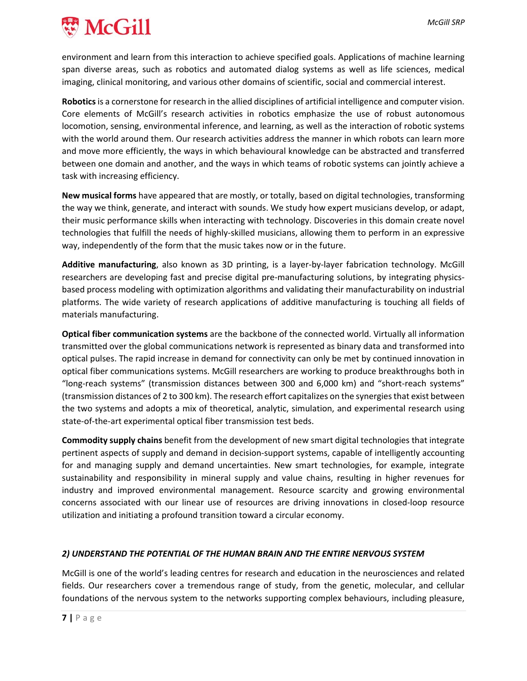

environment and learn from this interaction to achieve specified goals. Applications of machine learning span diverse areas, such as robotics and automated dialog systems as well as life sciences, medical imaging, clinical monitoring, and various other domains of scientific, social and commercial interest.

**Robotics**is a cornerstone for research in the allied disciplines of artificial intelligence and computer vision. Core elements of McGill's research activities in robotics emphasize the use of robust autonomous locomotion, sensing, environmental inference, and learning, as well as the interaction of robotic systems with the world around them. Our research activities address the manner in which robots can learn more and move more efficiently, the ways in which behavioural knowledge can be abstracted and transferred between one domain and another, and the ways in which teams of robotic systems can jointly achieve a task with increasing efficiency.

**New musical forms** have appeared that are mostly, or totally, based on digital technologies, transforming the way we think, generate, and interact with sounds. We study how expert musicians develop, or adapt, their music performance skills when interacting with technology. Discoveries in this domain create novel technologies that fulfill the needs of highly‐skilled musicians, allowing them to perform in an expressive way, independently of the form that the music takes now or in the future.

**Additive manufacturing**, also known as 3D printing, is a layer‐by‐layer fabrication technology. McGill researchers are developing fast and precise digital pre-manufacturing solutions, by integrating physicsbased process modeling with optimization algorithms and validating their manufacturability on industrial platforms. The wide variety of research applications of additive manufacturing is touching all fields of materials manufacturing.

**Optical fiber communication systems** are the backbone of the connected world. Virtually all information transmitted over the global communications network is represented as binary data and transformed into optical pulses. The rapid increase in demand for connectivity can only be met by continued innovation in optical fiber communications systems. McGill researchers are working to produce breakthroughs both in "long‐reach systems" (transmission distances between 300 and 6,000 km) and "short‐reach systems" (transmission distances of 2 to 300 km). The research effort capitalizes on the synergiesthat exist between the two systems and adopts a mix of theoretical, analytic, simulation, and experimental research using state‐of‐the‐art experimental optical fiber transmission test beds.

**Commodity supply chains** benefit from the development of new smart digital technologies that integrate pertinent aspects of supply and demand in decision-support systems, capable of intelligently accounting for and managing supply and demand uncertainties. New smart technologies, for example, integrate sustainability and responsibility in mineral supply and value chains, resulting in higher revenues for industry and improved environmental management. Resource scarcity and growing environmental concerns associated with our linear use of resources are driving innovations in closed‐loop resource utilization and initiating a profound transition toward a circular economy.

#### *2) UNDERSTAND THE POTENTIAL OF THE HUMAN BRAIN AND THE ENTIRE NERVOUS SYSTEM*

McGill is one of the world's leading centres for research and education in the neurosciences and related fields. Our researchers cover a tremendous range of study, from the genetic, molecular, and cellular foundations of the nervous system to the networks supporting complex behaviours, including pleasure,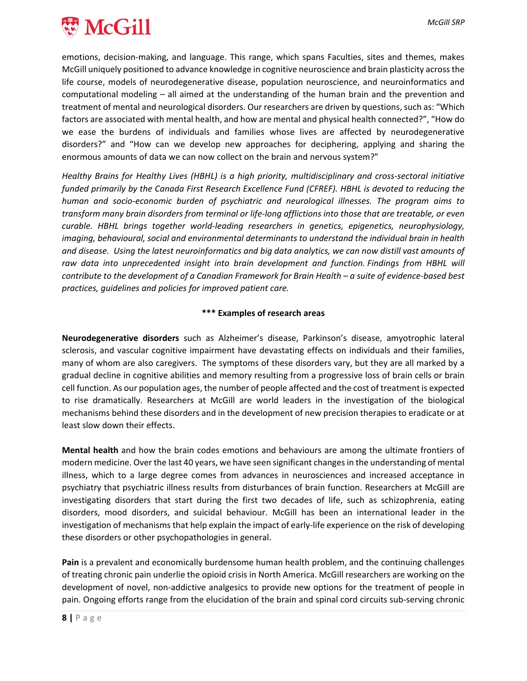

emotions, decision‐making, and language. This range, which spans Faculties, sites and themes, makes McGill uniquely positioned to advance knowledge in cognitive neuroscience and brain plasticity acrossthe life course, models of neurodegenerative disease, population neuroscience, and neuroinformatics and computational modeling – all aimed at the understanding of the human brain and the prevention and treatment of mental and neurological disorders. Our researchers are driven by questions, such as: "Which factors are associated with mental health, and how are mental and physical health connected?", "How do we ease the burdens of individuals and families whose lives are affected by neurodegenerative disorders?" and "How can we develop new approaches for deciphering, applying and sharing the enormous amounts of data we can now collect on the brain and nervous system?"

*Healthy Brains for Healthy Lives (HBHL) is a high priority, multidisciplinary and cross‐sectoral initiative funded primarily by the Canada First Research Excellence Fund (CFREF). HBHL is devoted to reducing the human and socio‐economic burden of psychiatric and neurological illnesses. The program aims to* transform many brain disorders from terminal or life-long afflictions into those that are treatable, or even *curable. HBHL brings together world‐leading researchers in genetics, epigenetics, neurophysiology, imaging, behavioural, social and environmental determinants to understand the individual brain in health* and disease. Using the latest neuroinformatics and big data analytics, we can now distill vast amounts of *raw data into unprecedented insight into brain development and function. Findings from HBHL will* contribute to the development of a Canadian Framework for Brain Health - a suite of evidence-based best *practices, guidelines and policies for improved patient care.*

#### **\*\*\* Examples of research areas**

**Neurodegenerative disorders** such as Alzheimer's disease, Parkinson's disease, amyotrophic lateral sclerosis, and vascular cognitive impairment have devastating effects on individuals and their families, many of whom are also caregivers. The symptoms of these disorders vary, but they are all marked by a gradual decline in cognitive abilities and memory resulting from a progressive loss of brain cells or brain cell function. As our population ages, the number of people affected and the cost of treatment is expected to rise dramatically. Researchers at McGill are world leaders in the investigation of the biological mechanisms behind these disorders and in the development of new precision therapies to eradicate or at least slow down their effects.

**Mental health** and how the brain codes emotions and behaviours are among the ultimate frontiers of modern medicine. Over the last 40 years, we have seen significant changesin the understanding of mental illness, which to a large degree comes from advances in neurosciences and increased acceptance in psychiatry that psychiatric illness results from disturbances of brain function. Researchers at McGill are investigating disorders that start during the first two decades of life, such as schizophrenia, eating disorders, mood disorders, and suicidal behaviour. McGill has been an international leader in the investigation of mechanisms that help explain the impact of early-life experience on the risk of developing these disorders or other psychopathologies in general.

**Pain** is a prevalent and economically burdensome human health problem, and the continuing challenges of treating chronic pain underlie the opioid crisis in North America. McGill researchers are working on the development of novel, non‐addictive analgesics to provide new options for the treatment of people in pain. Ongoing efforts range from the elucidation of the brain and spinal cord circuits sub‐serving chronic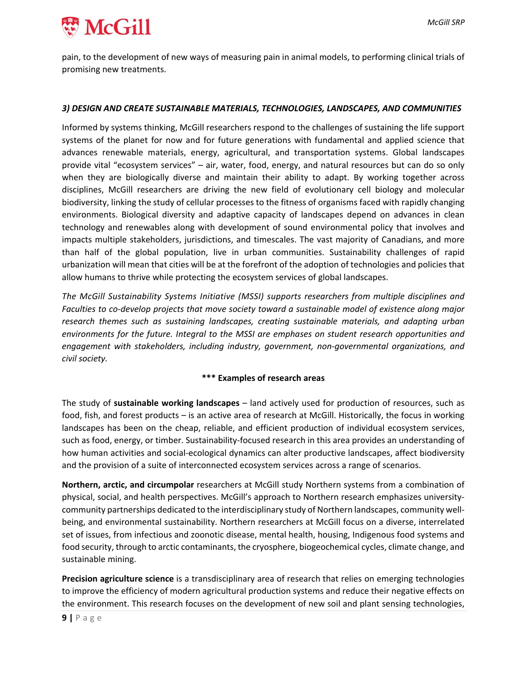

pain, to the development of new ways of measuring pain in animal models, to performing clinical trials of promising new treatments.

#### *3) DESIGN AND CREATE SUSTAINABLE MATERIALS, TECHNOLOGIES, LANDSCAPES, AND COMMUNITIES*

Informed by systems thinking, McGill researchers respond to the challenges of sustaining the life support systems of the planet for now and for future generations with fundamental and applied science that advances renewable materials, energy, agricultural, and transportation systems. Global landscapes provide vital "ecosystem services" – air, water, food, energy, and natural resources but can do so only when they are biologically diverse and maintain their ability to adapt. By working together across disciplines, McGill researchers are driving the new field of evolutionary cell biology and molecular biodiversity, linking the study of cellular processes to the fitness of organisms faced with rapidly changing environments. Biological diversity and adaptive capacity of landscapes depend on advances in clean technology and renewables along with development of sound environmental policy that involves and impacts multiple stakeholders, jurisdictions, and timescales. The vast majority of Canadians, and more than half of the global population, live in urban communities. Sustainability challenges of rapid urbanization will mean that cities will be at the forefront of the adoption of technologies and policies that allow humans to thrive while protecting the ecosystem services of global landscapes.

*The McGill Sustainability Systems Initiative (MSSI) supports researchers from multiple disciplines and Faculties to co‐develop projects that move society toward a sustainable model of existence along major research themes such as sustaining landscapes, creating sustainable materials, and adapting urban environments for the future. Integral to the MSSI are emphases on student research opportunities and engagement with stakeholders, including industry, government, non‐governmental organizations, and civil society.*

#### **\*\*\* Examples of research areas**

The study of **sustainable working landscapes** – land actively used for production of resources, such as food, fish, and forest products – is an active area of research at McGill. Historically, the focus in working landscapes has been on the cheap, reliable, and efficient production of individual ecosystem services, such as food, energy, or timber. Sustainability‐focused research in this area provides an understanding of how human activities and social‐ecological dynamics can alter productive landscapes, affect biodiversity and the provision of a suite of interconnected ecosystem services across a range of scenarios.

**Northern, arctic, and circumpolar** researchers at McGill study Northern systems from a combination of physical, social, and health perspectives. McGill's approach to Northern research emphasizes university‐ community partnerships dedicated to the interdisciplinary study of Northern landscapes, community well‐ being, and environmental sustainability. Northern researchers at McGill focus on a diverse, interrelated set of issues, from infectious and zoonotic disease, mental health, housing, Indigenous food systems and food security, through to arctic contaminants, the cryosphere, biogeochemical cycles, climate change, and sustainable mining.

**Precision agriculture science** is a transdisciplinary area of research that relies on emerging technologies to improve the efficiency of modern agricultural production systems and reduce their negative effects on the environment. This research focuses on the development of new soil and plant sensing technologies,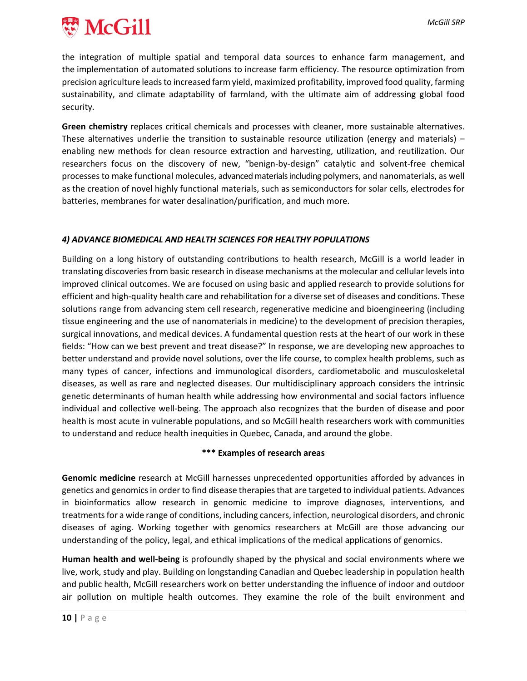

the integration of multiple spatial and temporal data sources to enhance farm management, and the implementation of automated solutions to increase farm efficiency. The resource optimization from precision agriculture leads to increased farm yield, maximized profitability, improved food quality, farming sustainability, and climate adaptability of farmland, with the ultimate aim of addressing global food security.

**Green chemistry** replaces critical chemicals and processes with cleaner, more sustainable alternatives. These alternatives underlie the transition to sustainable resource utilization (energy and materials) – enabling new methods for clean resource extraction and harvesting, utilization, and reutilization. Our researchers focus on the discovery of new, "benign‐by‐design" catalytic and solvent‐free chemical processesto make functional molecules, advancedmaterialsincluding polymers, and nanomaterials, as well as the creation of novel highly functional materials, such as semiconductors for solar cells, electrodes for batteries, membranes for water desalination/purification, and much more.

#### *4) ADVANCE BIOMEDICAL AND HEALTH SCIENCES FOR HEALTHY POPULATIONS*

Building on a long history of outstanding contributions to health research, McGill is a world leader in translating discoveries from basic research in disease mechanisms at the molecular and cellular levels into improved clinical outcomes. We are focused on using basic and applied research to provide solutions for efficient and high‐quality health care and rehabilitation for a diverse set of diseases and conditions. These solutions range from advancing stem cell research, regenerative medicine and bioengineering (including tissue engineering and the use of nanomaterials in medicine) to the development of precision therapies, surgical innovations, and medical devices. A fundamental question rests at the heart of our work in these fields: "How can we best prevent and treat disease?" In response, we are developing new approaches to better understand and provide novel solutions, over the life course, to complex health problems, such as many types of cancer, infections and immunological disorders, cardiometabolic and musculoskeletal diseases, as well as rare and neglected diseases. Our multidisciplinary approach considers the intrinsic genetic determinants of human health while addressing how environmental and social factors influence individual and collective well‐being. The approach also recognizes that the burden of disease and poor health is most acute in vulnerable populations, and so McGill health researchers work with communities to understand and reduce health inequities in Quebec, Canada, and around the globe.

#### **\*\*\* Examples of research areas**

**Genomic medicine** research at McGill harnesses unprecedented opportunities afforded by advances in genetics and genomicsin order to find disease therapiesthat are targeted to individual patients. Advances in bioinformatics allow research in genomic medicine to improve diagnoses, interventions, and treatmentsfor a wide range of conditions, including cancers, infection, neurological disorders, and chronic diseases of aging. Working together with genomics researchers at McGill are those advancing our understanding of the policy, legal, and ethical implications of the medical applications of genomics.

**Human health and well‐being** is profoundly shaped by the physical and social environments where we live, work, study and play. Building on longstanding Canadian and Quebec leadership in population health and public health, McGill researchers work on better understanding the influence of indoor and outdoor air pollution on multiple health outcomes. They examine the role of the built environment and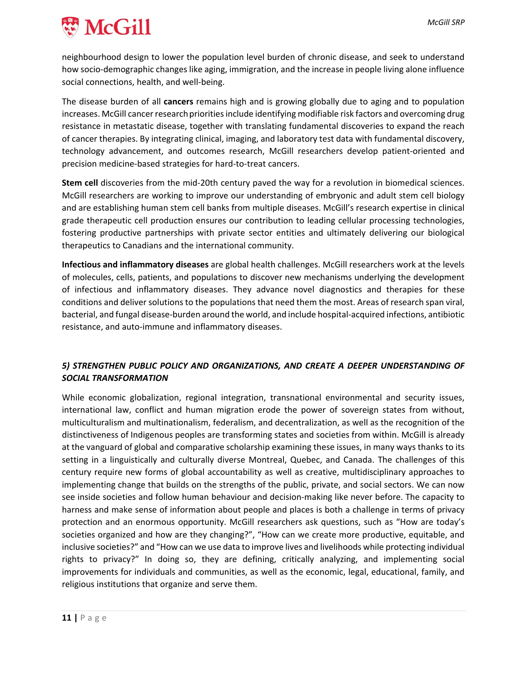

neighbourhood design to lower the population level burden of chronic disease, and seek to understand how socio-demographic changes like aging, immigration, and the increase in people living alone influence social connections, health, and well‐being.

The disease burden of all **cancers** remains high and is growing globally due to aging and to population increases. McGill cancer research priorities include identifying modifiable risk factors and overcoming drug resistance in metastatic disease, together with translating fundamental discoveries to expand the reach of cancer therapies. By integrating clinical, imaging, and laboratory test data with fundamental discovery, technology advancement, and outcomes research, McGill researchers develop patient‐oriented and precision medicine‐based strategies for hard‐to‐treat cancers.

**Stem cell** discoveries from the mid‐20th century paved the way for a revolution in biomedical sciences. McGill researchers are working to improve our understanding of embryonic and adult stem cell biology and are establishing human stem cell banks from multiple diseases. McGill's research expertise in clinical grade therapeutic cell production ensures our contribution to leading cellular processing technologies, fostering productive partnerships with private sector entities and ultimately delivering our biological therapeutics to Canadians and the international community.

**Infectious and inflammatory diseases** are global health challenges. McGill researchers work at the levels of molecules, cells, patients, and populations to discover new mechanisms underlying the development of infectious and inflammatory diseases. They advance novel diagnostics and therapies for these conditions and deliver solutions to the populations that need them the most. Areas of research span viral, bacterial, and fungal disease‐burden around the world, and include hospital‐acquired infections, antibiotic resistance, and auto‐immune and inflammatory diseases.

#### *5) STRENGTHEN PUBLIC POLICY AND ORGANIZATIONS, AND CREATE A DEEPER UNDERSTANDING OF SOCIAL TRANSFORMATION*

While economic globalization, regional integration, transnational environmental and security issues, international law, conflict and human migration erode the power of sovereign states from without, multiculturalism and multinationalism, federalism, and decentralization, as well as the recognition of the distinctiveness of Indigenous peoples are transforming states and societies from within. McGill is already at the vanguard of global and comparative scholarship examining these issues, in many ways thanks to its setting in a linguistically and culturally diverse Montreal, Quebec, and Canada. The challenges of this century require new forms of global accountability as well as creative, multidisciplinary approaches to implementing change that builds on the strengths of the public, private, and social sectors. We can now see inside societies and follow human behaviour and decision‐making like never before. The capacity to harness and make sense of information about people and places is both a challenge in terms of privacy protection and an enormous opportunity. McGill researchers ask questions, such as "How are today's societies organized and how are they changing?", "How can we create more productive, equitable, and inclusive societies?" and "How can we use data to improve lives and livelihoods while protecting individual rights to privacy?" In doing so, they are defining, critically analyzing, and implementing social improvements for individuals and communities, as well as the economic, legal, educational, family, and religious institutions that organize and serve them.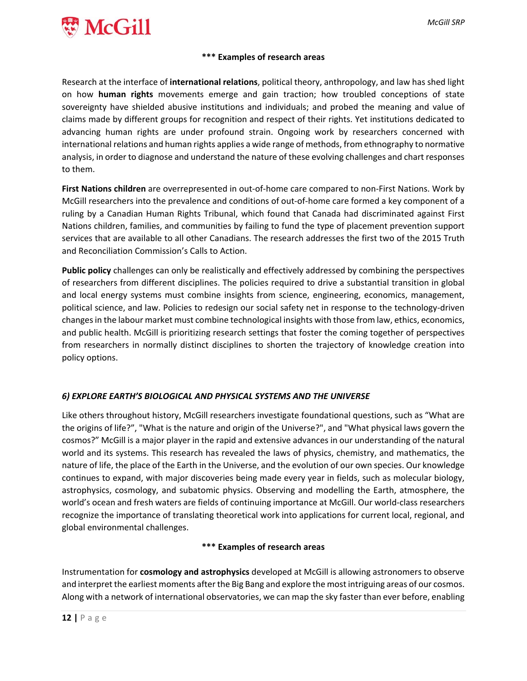

#### **\*\*\* Examples of research areas**

Research at the interface of **international relations**, political theory, anthropology, and law has shed light on how **human rights** movements emerge and gain traction; how troubled conceptions of state sovereignty have shielded abusive institutions and individuals; and probed the meaning and value of claims made by different groups for recognition and respect of their rights. Yet institutions dedicated to advancing human rights are under profound strain. Ongoing work by researchers concerned with international relations and human rights applies a wide range of methods, from ethnography to normative analysis, in order to diagnose and understand the nature of these evolving challenges and chart responses to them.

**First Nations children** are overrepresented in out‐of‐home care compared to non‐First Nations. Work by McGill researchers into the prevalence and conditions of out‐of‐home care formed a key component of a ruling by a Canadian Human Rights Tribunal, which found that Canada had discriminated against First Nations children, families, and communities by failing to fund the type of placement prevention support services that are available to all other Canadians. The research addresses the first two of the 2015 Truth and Reconciliation Commission's Calls to Action.

**Public policy** challenges can only be realistically and effectively addressed by combining the perspectives of researchers from different disciplines. The policies required to drive a substantial transition in global and local energy systems must combine insights from science, engineering, economics, management, political science, and law. Policies to redesign our social safety net in response to the technology-driven changesin the labour market must combine technological insights with those from law, ethics, economics, and public health. McGill is prioritizing research settings that foster the coming together of perspectives from researchers in normally distinct disciplines to shorten the trajectory of knowledge creation into policy options.

#### *6) EXPLORE EARTH'S BIOLOGICAL AND PHYSICAL SYSTEMS AND THE UNIVERSE*

Like others throughout history, McGill researchers investigate foundational questions, such as "What are the origins of life?", "What is the nature and origin of the Universe?", and "What physical laws govern the cosmos?" McGill is a major player in the rapid and extensive advances in our understanding of the natural world and its systems. This research has revealed the laws of physics, chemistry, and mathematics, the nature of life, the place of the Earth in the Universe, and the evolution of our own species. Our knowledge continues to expand, with major discoveries being made every year in fields, such as molecular biology, astrophysics, cosmology, and subatomic physics. Observing and modelling the Earth, atmosphere, the world's ocean and fresh waters are fields of continuing importance at McGill. Our world‐class researchers recognize the importance of translating theoretical work into applications for current local, regional, and global environmental challenges.

#### **\*\*\* Examples of research areas**

Instrumentation for **cosmology and astrophysics** developed at McGill is allowing astronomers to observe and interpret the earliest moments after the Big Bang and explore the most intriguing areas of our cosmos. Along with a network of international observatories, we can map the sky faster than ever before, enabling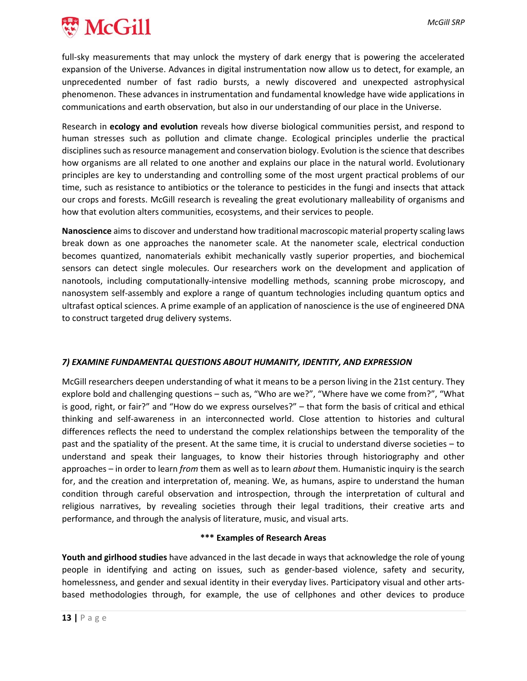

full-sky measurements that may unlock the mystery of dark energy that is powering the accelerated expansion of the Universe. Advances in digital instrumentation now allow us to detect, for example, an unprecedented number of fast radio bursts, a newly discovered and unexpected astrophysical phenomenon. These advances in instrumentation and fundamental knowledge have wide applications in communications and earth observation, but also in our understanding of our place in the Universe.

Research in **ecology and evolution** reveals how diverse biological communities persist, and respond to human stresses such as pollution and climate change. Ecological principles underlie the practical disciplines such as resource management and conservation biology. Evolution is the science that describes how organisms are all related to one another and explains our place in the natural world. Evolutionary principles are key to understanding and controlling some of the most urgent practical problems of our time, such as resistance to antibiotics or the tolerance to pesticides in the fungi and insects that attack our crops and forests. McGill research is revealing the great evolutionary malleability of organisms and how that evolution alters communities, ecosystems, and their services to people.

**Nanoscience** aimsto discover and understand how traditional macroscopic material property scaling laws break down as one approaches the nanometer scale. At the nanometer scale, electrical conduction becomes quantized, nanomaterials exhibit mechanically vastly superior properties, and biochemical sensors can detect single molecules. Our researchers work on the development and application of nanotools, including computationally‐intensive modelling methods, scanning probe microscopy, and nanosystem self‐assembly and explore a range of quantum technologies including quantum optics and ultrafast optical sciences. A prime example of an application of nanoscience is the use of engineered DNA to construct targeted drug delivery systems.

#### *7) EXAMINE FUNDAMENTAL QUESTIONS ABOUT HUMANITY, IDENTITY, AND EXPRESSION*

McGill researchers deepen understanding of what it means to be a person living in the 21st century. They explore bold and challenging questions – such as, "Who are we?", "Where have we come from?", "What is good, right, or fair?" and "How do we express ourselves?" – that form the basis of critical and ethical thinking and self‐awareness in an interconnected world. Close attention to histories and cultural differences reflects the need to understand the complex relationships between the temporality of the past and the spatiality of the present. At the same time, it is crucial to understand diverse societies – to understand and speak their languages, to know their histories through historiography and other approaches – in order to learn *from* them as well as to learn *about* them. Humanistic inquiry is the search for, and the creation and interpretation of, meaning. We, as humans, aspire to understand the human condition through careful observation and introspection, through the interpretation of cultural and religious narratives, by revealing societies through their legal traditions, their creative arts and performance, and through the analysis of literature, music, and visual arts.

#### **\*\*\* Examples of Research Areas**

**Youth and girlhood studies** have advanced in the last decade in ways that acknowledge the role of young people in identifying and acting on issues, such as gender-based violence, safety and security, homelessness, and gender and sexual identity in their everyday lives. Participatory visual and other arts‐ based methodologies through, for example, the use of cellphones and other devices to produce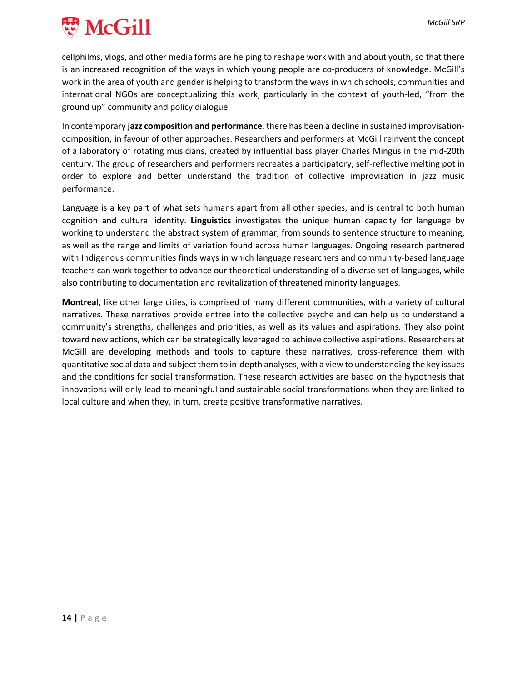

cellphilms, vlogs, and other media forms are helping to reshape work with and about youth, so that there is an increased recognition of the ways in which young people are co-producers of knowledge. McGill's work in the area of youth and gender is helping to transform the ways in which schools, communities and international NGOs are conceptualizing this work, particularly in the context of youth‐led, "from the ground up" community and policy dialogue.

In contemporary **jazz composition and performance**, there has been a decline in sustained improvisation‐ composition, in favour of other approaches. Researchers and performers at McGill reinvent the concept of a laboratory of rotating musicians, created by influential bass player Charles Mingus in the mid‐20th century. The group of researchers and performers recreates a participatory, self‐reflective melting pot in order to explore and better understand the tradition of collective improvisation in jazz music performance.

Language is a key part of what sets humans apart from all other species, and is central to both human cognition and cultural identity. **Linguistics** investigates the unique human capacity for language by working to understand the abstract system of grammar, from sounds to sentence structure to meaning, as well as the range and limits of variation found across human languages. Ongoing research partnered with Indigenous communities finds ways in which language researchers and community-based language teachers can work together to advance our theoretical understanding of a diverse set of languages, while also contributing to documentation and revitalization of threatened minority languages.

**Montreal**, like other large cities, is comprised of many different communities, with a variety of cultural narratives. These narratives provide entree into the collective psyche and can help us to understand a community's strengths, challenges and priorities, as well as its values and aspirations. They also point toward new actions, which can be strategically leveraged to achieve collective aspirations. Researchers at McGill are developing methods and tools to capture these narratives, cross-reference them with quantitative social data and subject them to in‐depth analyses, with a view to understanding the key issues and the conditions for social transformation. These research activities are based on the hypothesis that innovations will only lead to meaningful and sustainable social transformations when they are linked to local culture and when they, in turn, create positive transformative narratives.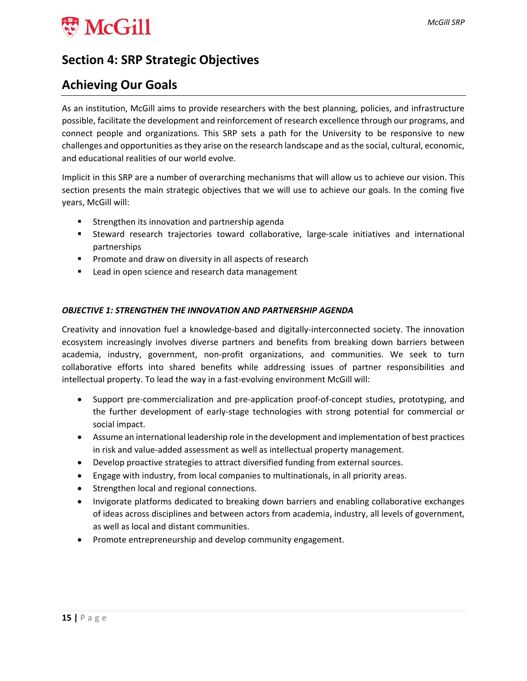

## **Section 4: SRP Strategic Objectives**

## **Achieving Our Goals**

As an institution, McGill aims to provide researchers with the best planning, policies, and infrastructure possible, facilitate the development and reinforcement of research excellence through our programs, and connect people and organizations. This SRP sets a path for the University to be responsive to new challenges and opportunities asthey arise on the research landscape and asthe social, cultural, economic, and educational realities of our world evolve.

Implicit in this SRP are a number of overarching mechanisms that will allow us to achieve our vision. This section presents the main strategic objectives that we will use to achieve our goals. In the coming five years, McGill will:

- **Strengthen its innovation and partnership agenda**
- Steward research trajectories toward collaborative, large-scale initiatives and international partnerships
- **Promote and draw on diversity in all aspects of research**
- **EXTERG** Lead in open science and research data management

#### *OBJECTIVE 1: STRENGTHEN THE INNOVATION AND PARTNERSHIP AGENDA*

Creativity and innovation fuel a knowledge‐based and digitally‐interconnected society. The innovation ecosystem increasingly involves diverse partners and benefits from breaking down barriers between academia, industry, government, non‐profit organizations, and communities. We seek to turn collaborative efforts into shared benefits while addressing issues of partner responsibilities and intellectual property. To lead the way in a fast-evolving environment McGill will:

- Support pre-commercialization and pre-application proof-of-concept studies, prototyping, and the further development of early‐stage technologies with strong potential for commercial or social impact.
- Assume an international leadership role in the development and implementation of best practices in risk and value‐added assessment as well as intellectual property management.
- Develop proactive strategies to attract diversified funding from external sources.
- Engage with industry, from local companies to multinationals, in all priority areas.
- Strengthen local and regional connections.
- Invigorate platforms dedicated to breaking down barriers and enabling collaborative exchanges of ideas across disciplines and between actors from academia, industry, all levels of government, as well as local and distant communities.
- Promote entrepreneurship and develop community engagement.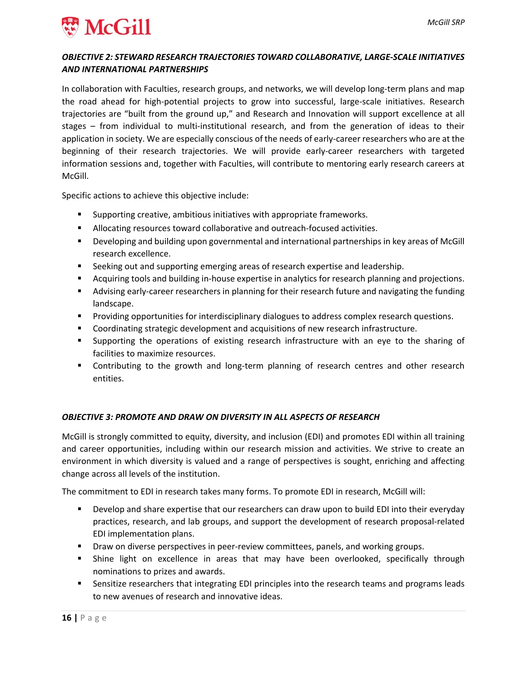

#### *OBJECTIVE 2: STEWARD RESEARCH TRAJECTORIES TOWARD COLLABORATIVE, LARGE‐SCALE INITIATIVES AND INTERNATIONAL PARTNERSHIPS*

In collaboration with Faculties, research groups, and networks, we will develop long-term plans and map the road ahead for high‐potential projects to grow into successful, large‐scale initiatives. Research trajectories are "built from the ground up," and Research and Innovation will support excellence at all stages – from individual to multi-institutional research, and from the generation of ideas to their application in society. We are especially conscious of the needs of early-career researchers who are at the beginning of their research trajectories. We will provide early‐career researchers with targeted information sessions and, together with Faculties, will contribute to mentoring early research careers at McGill.

Specific actions to achieve this objective include:

- Supporting creative, ambitious initiatives with appropriate frameworks.
- Allocating resources toward collaborative and outreach-focused activities.
- Developing and building upon governmental and international partnerships in key areas of McGill research excellence.
- **Seeking out and supporting emerging areas of research expertise and leadership.**
- Acquiring tools and building in-house expertise in analytics for research planning and projections.
- Advising early-career researchers in planning for their research future and navigating the funding landscape.
- **Providing opportunities for interdisciplinary dialogues to address complex research questions.**
- Coordinating strategic development and acquisitions of new research infrastructure.
- Supporting the operations of existing research infrastructure with an eye to the sharing of facilities to maximize resources.
- Contributing to the growth and long-term planning of research centres and other research entities.

#### *OBJECTIVE 3: PROMOTE AND DRAW ON DIVERSITY IN ALL ASPECTS OF RESEARCH*

McGill is strongly committed to equity, diversity, and inclusion (EDI) and promotes EDI within all training and career opportunities, including within our research mission and activities. We strive to create an environment in which diversity is valued and a range of perspectives is sought, enriching and affecting change across all levels of the institution.

The commitment to EDI in research takes many forms. To promote EDI in research, McGill will:

- **Develop and share expertise that our researchers can draw upon to build EDI into their everyday** practices, research, and lab groups, and support the development of research proposal‐related EDI implementation plans.
- Draw on diverse perspectives in peer-review committees, panels, and working groups.
- Shine light on excellence in areas that may have been overlooked, specifically through nominations to prizes and awards.
- **Sensitize researchers that integrating EDI principles into the research teams and programs leads** to new avenues of research and innovative ideas.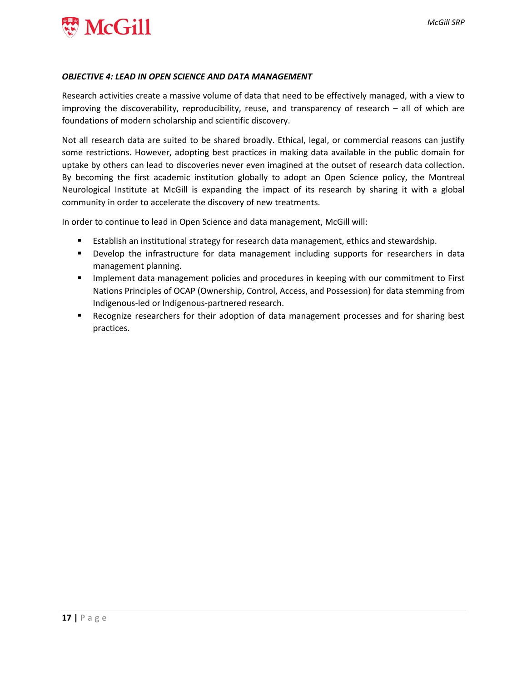

#### *OBJECTIVE 4: LEAD IN OPEN SCIENCE AND DATA MANAGEMENT*

Research activities create a massive volume of data that need to be effectively managed, with a view to improving the discoverability, reproducibility, reuse, and transparency of research – all of which are foundations of modern scholarship and scientific discovery.

Not all research data are suited to be shared broadly. Ethical, legal, or commercial reasons can justify some restrictions. However, adopting best practices in making data available in the public domain for uptake by others can lead to discoveries never even imagined at the outset of research data collection. By becoming the first academic institution globally to adopt an Open Science policy, the Montreal Neurological Institute at McGill is expanding the impact of its research by sharing it with a global community in order to accelerate the discovery of new treatments.

In order to continue to lead in Open Science and data management, McGill will:

- **Establish an institutional strategy for research data management, ethics and stewardship.**
- **Develop the infrastructure for data management including supports for researchers in data** management planning.
- **IMPLEMENT MANAGEM IN A 19 IMPLE 10 IMPLE 10 IMPLE 10 IMPLE 10 IMPLE 10 IMPLE 10 IMPLE 10 IMPLE 10 IMPLE 10 IMPLE 10 IMPLE 10 IMPLE 10 IMPLE 10 IMPLE 10 IMPLE 10 IMPLE 10 IMPLE 10 IMPLE 10 IMPLE 10 IMPLE 10 IMPLE 10 IMPLE** Nations Principles of OCAP (Ownership, Control, Access, and Possession) for data stemming from Indigenous‐led or Indigenous‐partnered research.
- **Recognize researchers for their adoption of data management processes and for sharing best** practices.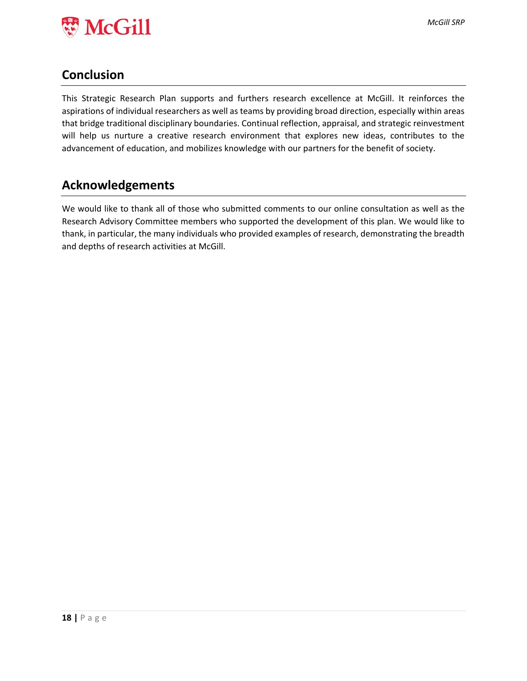

## **Conclusion**

This Strategic Research Plan supports and furthers research excellence at McGill. It reinforces the aspirations of individual researchers as well as teams by providing broad direction, especially within areas that bridge traditional disciplinary boundaries. Continual reflection, appraisal, and strategic reinvestment will help us nurture a creative research environment that explores new ideas, contributes to the advancement of education, and mobilizes knowledge with our partners for the benefit of society.

## **Acknowledgements**

We would like to thank all of those who submitted comments to our online consultation as well as the Research Advisory Committee members who supported the development of this plan. We would like to thank, in particular, the many individuals who provided examples of research, demonstrating the breadth and depths of research activities at McGill.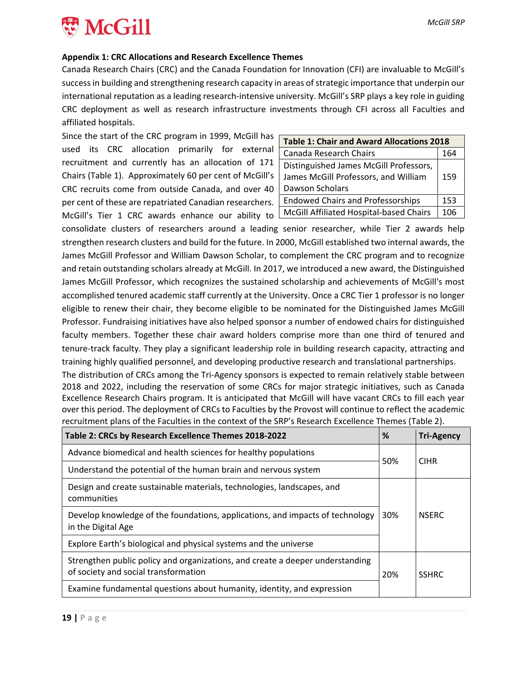

#### **Appendix 1: CRC Allocations and Research Excellence Themes**

Canada Research Chairs (CRC) and the Canada Foundation for Innovation (CFI) are invaluable to McGill's success in building and strengthening research capacity in areas of strategic importance that underpin our international reputation as a leading research‐intensive university. McGill's SRP plays a key role in guiding CRC deployment as well as research infrastructure investments through CFI across all Faculties and affiliated hospitals.

Since the start of the CRC program in 1999, McGill has used its CRC allocation primarily for external recruitment and currently has an allocation of 171 Chairs (Table 1). Approximately 60 per cent of McGill's CRC recruits come from outside Canada, and over 40 per cent of these are repatriated Canadian researchers. McGill's Tier 1 CRC awards enhance our ability to L

| <b>Table 1: Chair and Award Allocations 2018</b>                                                  |     |  |  |
|---------------------------------------------------------------------------------------------------|-----|--|--|
| Canada Research Chairs                                                                            |     |  |  |
| Distinguished James McGill Professors,<br>James McGill Professors, and William<br>Dawson Scholars |     |  |  |
| <b>Endowed Chairs and Professorships</b>                                                          | 153 |  |  |
| McGill Affiliated Hospital-based Chairs                                                           | 106 |  |  |

consolidate clusters of researchers around a leading senior researcher, while Tier 2 awards help strengthen research clusters and build for the future. In 2000, McGill established two internal awards, the James McGill Professor and William Dawson Scholar, to complement the CRC program and to recognize and retain outstanding scholars already at McGill. In 2017, we introduced a new award, the Distinguished James McGill Professor, which recognizes the sustained scholarship and achievements of McGill's most accomplished tenured academic staff currently at the University. Once a CRC Tier 1 professor is no longer eligible to renew their chair, they become eligible to be nominated for the Distinguished James McGill Professor. Fundraising initiatives have also helped sponsor a number of endowed chairs for distinguished faculty members. Together these chair award holders comprise more than one third of tenured and tenure‐track faculty. They play a significant leadership role in building research capacity, attracting and training highly qualified personnel, and developing productive research and translational partnerships.

The distribution of CRCs among the Tri‐Agency sponsors is expected to remain relatively stable between 2018 and 2022, including the reservation of some CRCs for major strategic initiatives, such as Canada Excellence Research Chairs program. It is anticipated that McGill will have vacant CRCs to fill each year over this period. The deployment of CRCs to Faculties by the Provost will continue to reflect the academic recruitment plans of the Faculties in the context of the SRP's Research Excellence Themes (Table 2).

| Table 2: CRCs by Research Excellence Themes 2018-2022                                                                 | %   | <b>Tri-Agency</b> |
|-----------------------------------------------------------------------------------------------------------------------|-----|-------------------|
| Advance biomedical and health sciences for healthy populations                                                        |     | <b>CIHR</b>       |
| Understand the potential of the human brain and nervous system                                                        |     |                   |
| Design and create sustainable materials, technologies, landscapes, and<br>communities                                 |     |                   |
| Develop knowledge of the foundations, applications, and impacts of technology<br>in the Digital Age                   |     | <b>NSFRC</b>      |
| Explore Earth's biological and physical systems and the universe                                                      |     |                   |
| Strengthen public policy and organizations, and create a deeper understanding<br>of society and social transformation | 20% | <b>SSHRC</b>      |
| Examine fundamental questions about humanity, identity, and expression                                                |     |                   |